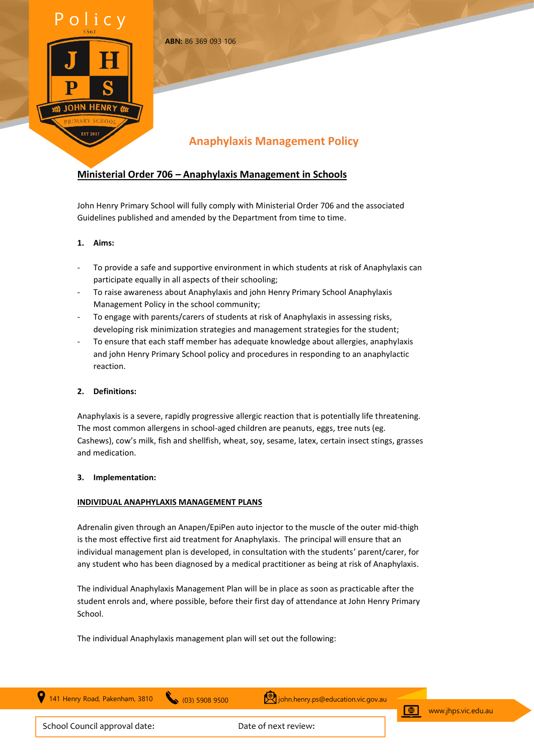

# **Anaphylaxis Management Policy**

# **Ministerial Order 706 – Anaphylaxis Management in Schools**

**ABN:** 86 369 093 106

John Henry Primary School will fully comply with Ministerial Order 706 and the associated Guidelines published and amended by the Department from time to time.

# **1. Aims:**

- To provide a safe and supportive environment in which students at risk of Anaphylaxis can participate equally in all aspects of their schooling;
- To raise awareness about Anaphylaxis and john Henry Primary School Anaphylaxis Management Policy in the school community;
- To engage with parents/carers of students at risk of Anaphylaxis in assessing risks, developing risk minimization strategies and management strategies for the student;
- To ensure that each staff member has adequate knowledge about allergies, anaphylaxis and john Henry Primary School policy and procedures in responding to an anaphylactic reaction.

# **2. Definitions:**

Anaphylaxis is a severe, rapidly progressive allergic reaction that is potentially life threatening. The most common allergens in school-aged children are peanuts, eggs, tree nuts (eg. Cashews), cow's milk, fish and shellfish, wheat, soy, sesame, latex, certain insect stings, grasses and medication.

### **3. Implementation:**

### **INDIVIDUAL ANAPHYLAXIS MANAGEMENT PLANS**

Adrenalin given through an Anapen/EpiPen auto injector to the muscle of the outer mid-thigh is the most effective first aid treatment for Anaphylaxis. The principal will ensure that an individual management plan is developed, in consultation with the students' parent/carer, for any student who has been diagnosed by a medical practitioner as being at risk of Anaphylaxis.

The individual Anaphylaxis Management Plan will be in place as soon as practicable after the student enrols and, where possible, before their first day of attendance at John Henry Primary School.

The individual Anaphylaxis management plan will set out the following:

141 Henry Road, Pakenham, 3810 (03) 5908 9500 (20) john.henry.ps@education.vic.gov.au



 $\bigoplus$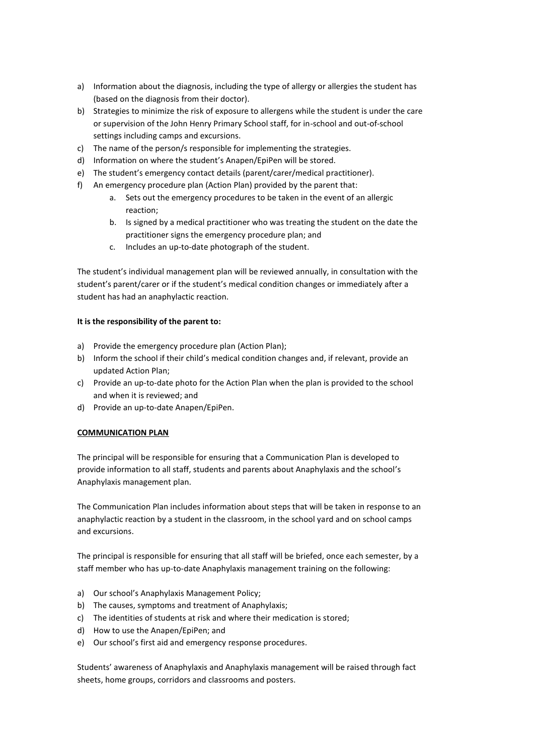- a) Information about the diagnosis, including the type of allergy or allergies the student has (based on the diagnosis from their doctor).
- b) Strategies to minimize the risk of exposure to allergens while the student is under the care or supervision of the John Henry Primary School staff, for in-school and out-of-school settings including camps and excursions.
- c) The name of the person/s responsible for implementing the strategies.
- d) Information on where the student's Anapen/EpiPen will be stored.
- e) The student's emergency contact details (parent/carer/medical practitioner).
- f) An emergency procedure plan (Action Plan) provided by the parent that:
	- a. Sets out the emergency procedures to be taken in the event of an allergic reaction;
	- b. Is signed by a medical practitioner who was treating the student on the date the practitioner signs the emergency procedure plan; and
	- c. Includes an up-to-date photograph of the student.

The student's individual management plan will be reviewed annually, in consultation with the student's parent/carer or if the student's medical condition changes or immediately after a student has had an anaphylactic reaction.

### **It is the responsibility of the parent to:**

- a) Provide the emergency procedure plan (Action Plan);
- b) Inform the school if their child's medical condition changes and, if relevant, provide an updated Action Plan;
- c) Provide an up-to-date photo for the Action Plan when the plan is provided to the school and when it is reviewed; and
- d) Provide an up-to-date Anapen/EpiPen.

# **COMMUNICATION PLAN**

The principal will be responsible for ensuring that a Communication Plan is developed to provide information to all staff, students and parents about Anaphylaxis and the school's Anaphylaxis management plan.

The Communication Plan includes information about steps that will be taken in response to an anaphylactic reaction by a student in the classroom, in the school yard and on school camps and excursions.

The principal is responsible for ensuring that all staff will be briefed, once each semester, by a staff member who has up-to-date Anaphylaxis management training on the following:

- a) Our school's Anaphylaxis Management Policy;
- b) The causes, symptoms and treatment of Anaphylaxis;
- c) The identities of students at risk and where their medication is stored;
- d) How to use the Anapen/EpiPen; and
- e) Our school's first aid and emergency response procedures.

Students' awareness of Anaphylaxis and Anaphylaxis management will be raised through fact sheets, home groups, corridors and classrooms and posters.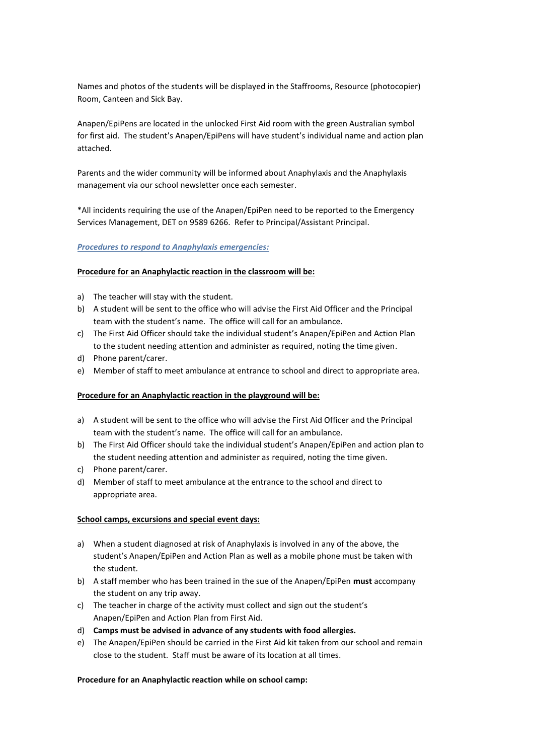Names and photos of the students will be displayed in the Staffrooms, Resource (photocopier) Room, Canteen and Sick Bay.

Anapen/EpiPens are located in the unlocked First Aid room with the green Australian symbol for first aid. The student's Anapen/EpiPens will have student's individual name and action plan attached.

Parents and the wider community will be informed about Anaphylaxis and the Anaphylaxis management via our school newsletter once each semester.

\*All incidents requiring the use of the Anapen/EpiPen need to be reported to the Emergency Services Management, DET on 9589 6266. Refer to Principal/Assistant Principal.

### *Procedures to respond to Anaphylaxis emergencies:*

#### **Procedure for an Anaphylactic reaction in the classroom will be:**

- a) The teacher will stay with the student.
- b) A student will be sent to the office who will advise the First Aid Officer and the Principal team with the student's name. The office will call for an ambulance.
- c) The First Aid Officer should take the individual student's Anapen/EpiPen and Action Plan to the student needing attention and administer as required, noting the time given.
- d) Phone parent/carer.
- e) Member of staff to meet ambulance at entrance to school and direct to appropriate area.

### **Procedure for an Anaphylactic reaction in the playground will be:**

- a) A student will be sent to the office who will advise the First Aid Officer and the Principal team with the student's name. The office will call for an ambulance.
- b) The First Aid Officer should take the individual student's Anapen/EpiPen and action plan to the student needing attention and administer as required, noting the time given.
- c) Phone parent/carer.
- d) Member of staff to meet ambulance at the entrance to the school and direct to appropriate area.

#### **School camps, excursions and special event days:**

- a) When a student diagnosed at risk of Anaphylaxis is involved in any of the above, the student's Anapen/EpiPen and Action Plan as well as a mobile phone must be taken with the student.
- b) A staff member who has been trained in the sue of the Anapen/EpiPen **must** accompany the student on any trip away.
- c) The teacher in charge of the activity must collect and sign out the student's Anapen/EpiPen and Action Plan from First Aid.
- d) **Camps must be advised in advance of any students with food allergies.**
- e) The Anapen/EpiPen should be carried in the First Aid kit taken from our school and remain close to the student. Staff must be aware of its location at all times.

#### **Procedure for an Anaphylactic reaction while on school camp:**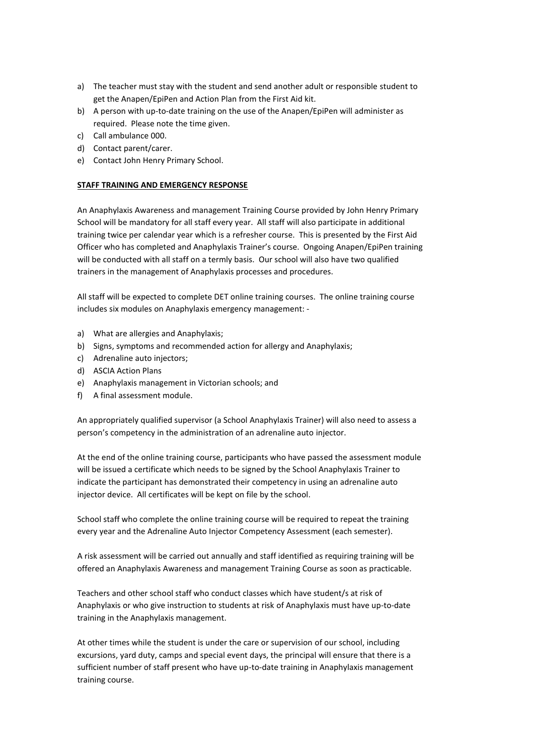- a) The teacher must stay with the student and send another adult or responsible student to get the Anapen/EpiPen and Action Plan from the First Aid kit.
- b) A person with up-to-date training on the use of the Anapen/EpiPen will administer as required. Please note the time given.
- c) Call ambulance 000.
- d) Contact parent/carer.
- e) Contact John Henry Primary School.

### **STAFF TRAINING AND EMERGENCY RESPONSE**

An Anaphylaxis Awareness and management Training Course provided by John Henry Primary School will be mandatory for all staff every year. All staff will also participate in additional training twice per calendar year which is a refresher course. This is presented by the First Aid Officer who has completed and Anaphylaxis Trainer's course. Ongoing Anapen/EpiPen training will be conducted with all staff on a termly basis. Our school will also have two qualified trainers in the management of Anaphylaxis processes and procedures.

All staff will be expected to complete DET online training courses. The online training course includes six modules on Anaphylaxis emergency management: -

- a) What are allergies and Anaphylaxis;
- b) Signs, symptoms and recommended action for allergy and Anaphylaxis;
- c) Adrenaline auto injectors;
- d) ASCIA Action Plans
- e) Anaphylaxis management in Victorian schools; and
- f) A final assessment module.

An appropriately qualified supervisor (a School Anaphylaxis Trainer) will also need to assess a person's competency in the administration of an adrenaline auto injector.

At the end of the online training course, participants who have passed the assessment module will be issued a certificate which needs to be signed by the School Anaphylaxis Trainer to indicate the participant has demonstrated their competency in using an adrenaline auto injector device. All certificates will be kept on file by the school.

School staff who complete the online training course will be required to repeat the training every year and the Adrenaline Auto Injector Competency Assessment (each semester).

A risk assessment will be carried out annually and staff identified as requiring training will be offered an Anaphylaxis Awareness and management Training Course as soon as practicable.

Teachers and other school staff who conduct classes which have student/s at risk of Anaphylaxis or who give instruction to students at risk of Anaphylaxis must have up-to-date training in the Anaphylaxis management.

At other times while the student is under the care or supervision of our school, including excursions, yard duty, camps and special event days, the principal will ensure that there is a sufficient number of staff present who have up-to-date training in Anaphylaxis management training course.